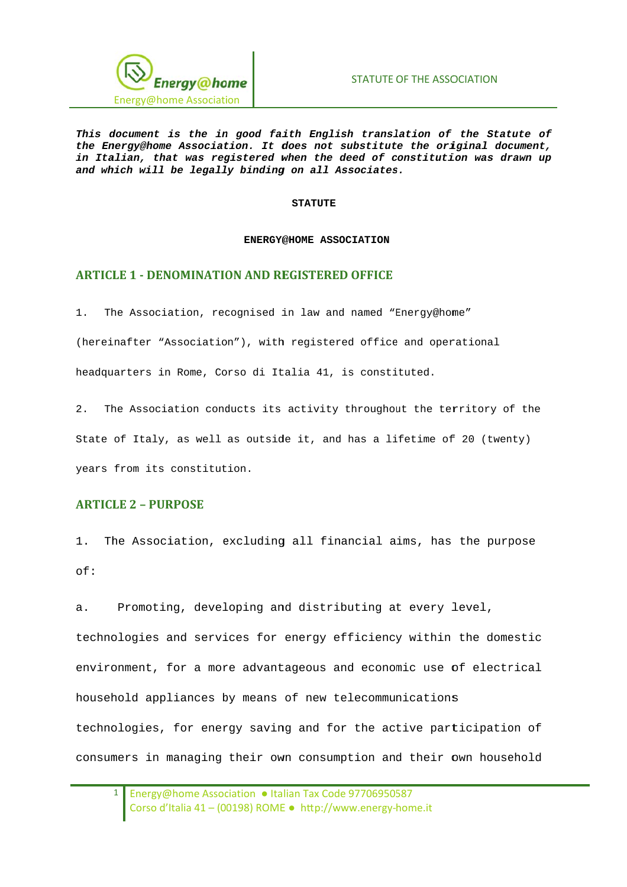

This document is the in good faith English translation of the Statute of the Energy@home Association. It does not substitute the original document, in Italian, that was registered when the deed of constitution was drawn up and which will be legally binding on all Associates.

#### **STATUTE**

#### ENERGY@HOME ASSOCIATION

#### **ARTICLE 1 - DENOMINATION AND REGISTERED OFFICE**

The Association, recognised in law and named "Energy@home"  $1.$ 

(hereinafter "Association"), with registered office and operational

headquarters in Rome, Corso di Italia 41, is constituted.

2. The Association conducts its activity throughout the territory of the State of Italy, as well as outside it, and has a lifetime of 20 (twenty) years from its constitution.

### **ARTICLE 2 - PURPOSE**

1. The Association, excluding all financial aims, has the purpose  $of:$ 

Promoting, developing and distributing at every level,  $\overline{a}$ . technologies and services for energy efficiency within the domestic environment, for a more advantageous and economic use of electrical household appliances by means of new telecommunications technologies, for energy saving and for the active participation of consumers in managing their own consumption and their own household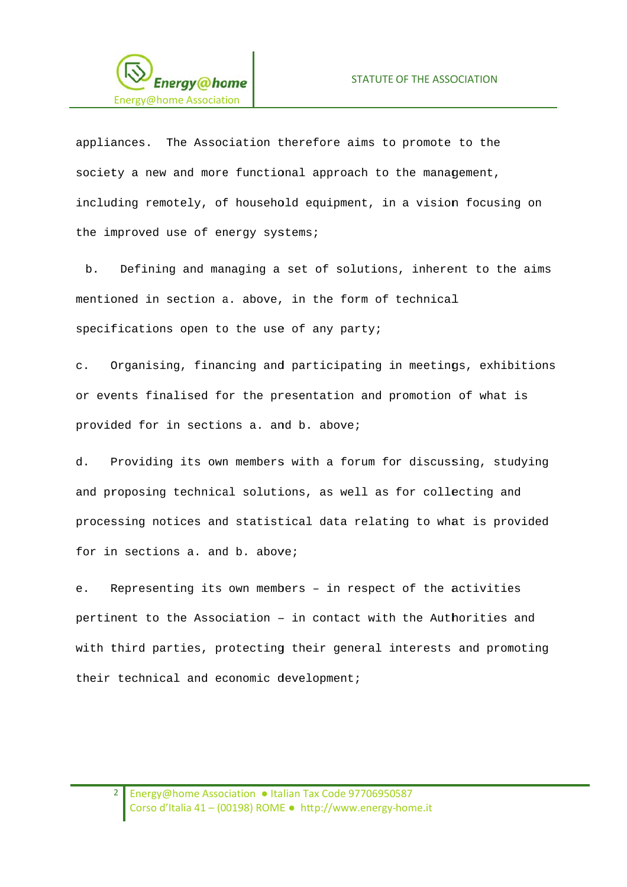

appliances. The Association therefore aims to promote to the society a new and more functional approach to the management, including remotely, of household equipment, in a vision focusing on the improved use of energy systems;

 $<sub>b</sub>$ .</sub> Defining and managing a set of solutions, inherent to the aims mentioned in section a. above, in the form of technical specifications open to the use of any party;

Organising, financing and participating in meetings, exhibitions  $\mathcal{C}$ . or events finalised for the presentation and promotion of what is provided for in sections a. and b. above;

Providing its own members with a forum for discussing, studying d. and proposing technical solutions, as well as for collecting and processing notices and statistical data relating to what is provided for in sections a. and b. above;

Representing its own members - in respect of the activities  $e<sub>1</sub>$ pertinent to the Association - in contact with the Authorities and with third parties, protecting their general interests and promoting their technical and economic development;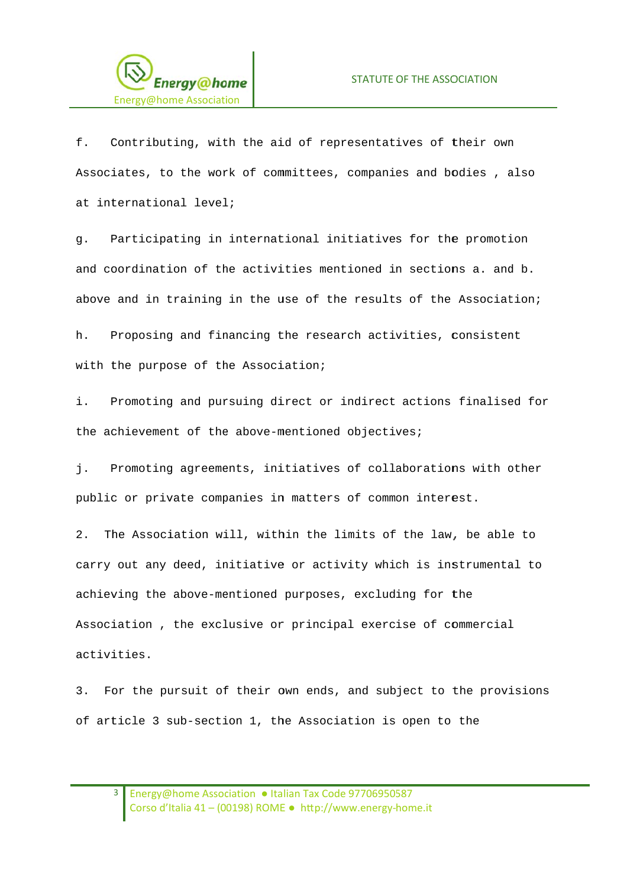

f. Contributing, with the aid of representatives of their own Associates, to the work of committees, companies and bodies, also at international level;

Participating in international initiatives for the promotion  $\alpha$ . and coordination of the activities mentioned in sections a. and b. above and in training in the use of the results of the Association;

 $h$ . Proposing and financing the research activities, consistent with the purpose of the Association;

i. Promoting and pursuing direct or indirect actions finalised for the achievement of the above-mentioned objectives;

Promoting agreements, initiatives of collaborations with other j. public or private companies in matters of common interest.

The Association will, within the limits of the law, be able to  $2.$ carry out any deed, initiative or activity which is instrumental to achieving the above-mentioned purposes, excluding for the Association, the exclusive or principal exercise of commercial activities.

For the pursuit of their own ends, and subject to the provisions  $3.$ of article 3 sub-section 1, the Association is open to the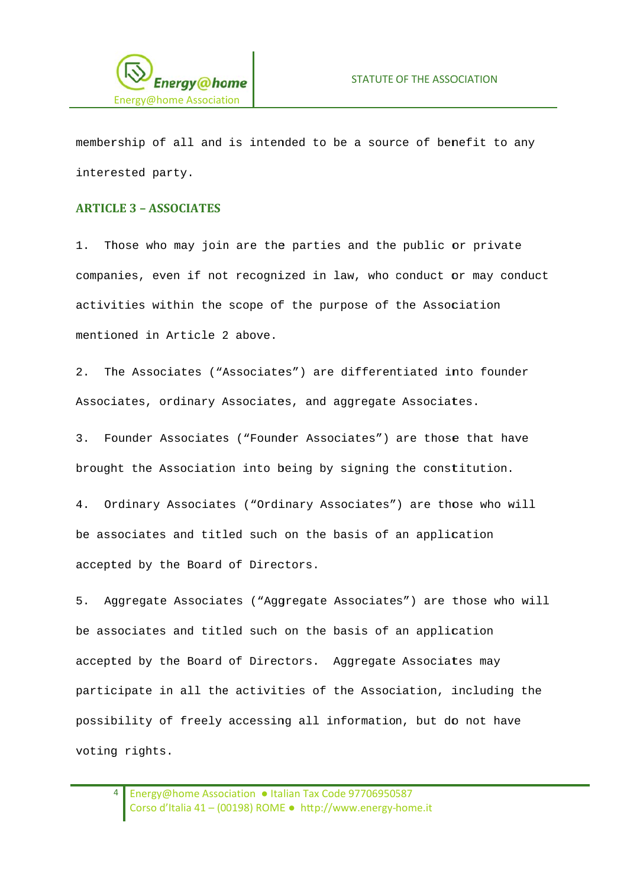

membership of all and is intended to be a source of benefit to any interested party.

### **ARTICLE 3 - ASSOCIATES**

Those who may join are the parties and the public or private  $1<sup>1</sup>$ companies, even if not recognized in law, who conduct or may conduct activities within the scope of the purpose of the Association mentioned in Article 2 above.

 $2<sup>1</sup>$ The Associates ("Associates") are differentiated into founder Associates, ordinary Associates, and aggregate Associates.

Founder Associates ("Founder Associates") are those that have  $3.$ brought the Association into being by signing the constitution.

4. Ordinary Associates ("Ordinary Associates") are those who will be associates and titled such on the basis of an application accepted by the Board of Directors.

Aggregate Associates ("Aggregate Associates") are those who will  $5.$ be associates and titled such on the basis of an application accepted by the Board of Directors. Aggregate Associates may participate in all the activities of the Association, including the possibility of freely accessing all information, but do not have voting rights.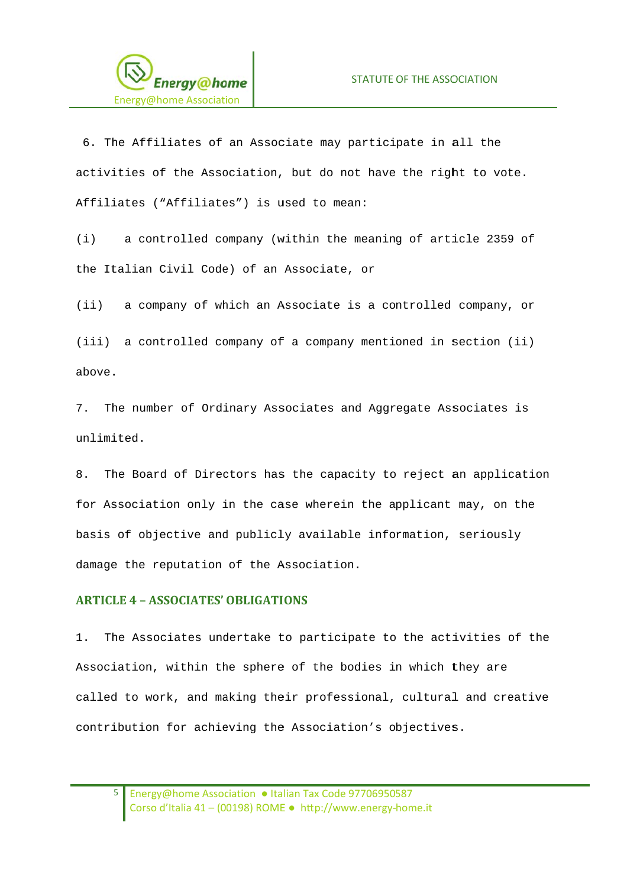

6. The Affiliates of an Associate may participate in all the activities of the Association, but do not have the right to vote. Affiliates ("Affiliates") is used to mean:

a controlled company (within the meaning of article 2359 of  $(i)$ the Italian Civil Code) of an Associate, or

 $(iii)$ a company of which an Associate is a controlled company, or

(iii) a controlled company of a company mentioned in section (ii) above.

7. The number of Ordinary Associates and Aggregate Associates is unlimited.

8. The Board of Directors has the capacity to reject an application for Association only in the case wherein the applicant may, on the basis of objective and publicly available information, seriously damage the reputation of the Association.

#### **ARTICLE 4 - ASSOCIATES' OBLIGATIONS**

 $1$ . The Associates undertake to participate to the activities of the Association, within the sphere of the bodies in which they are called to work, and making their professional, cultural and creative contribution for achieving the Association's objectives.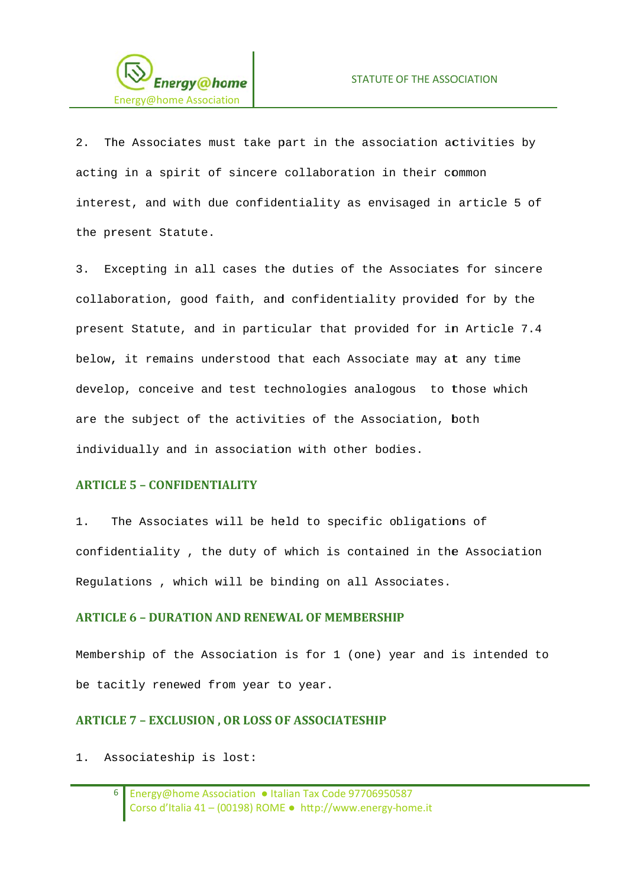

The Associates must take part in the association activities by  $2^{\circ}$ acting in a spirit of sincere collaboration in their common interest, and with due confidentiality as envisaged in article 5 of the present Statute.

 $\mathcal{R}$ Excepting in all cases the duties of the Associates for sincere collaboration, good faith, and confidentiality provided for by the present Statute, and in particular that provided for in Article 7.4 below, it remains understood that each Associate may at any time develop, conceive and test technologies analogous to those which are the subject of the activities of the Association, both individually and in association with other bodies.

### **ARTICLE 5 - CONFIDENTIALITY**

 $1$ . The Associates will be held to specific obligations of confidentiality, the duty of which is contained in the Association Requlations, which will be binding on all Associates.

### **ARTICLE 6 - DURATION AND RENEWAL OF MEMBERSHIP**

Membership of the Association is for 1 (one) year and is intended to be tacitly renewed from year to year.

### **ARTICLE 7 - EXCLUSION, OR LOSS OF ASSOCIATESHIP**

1. Associateship is lost: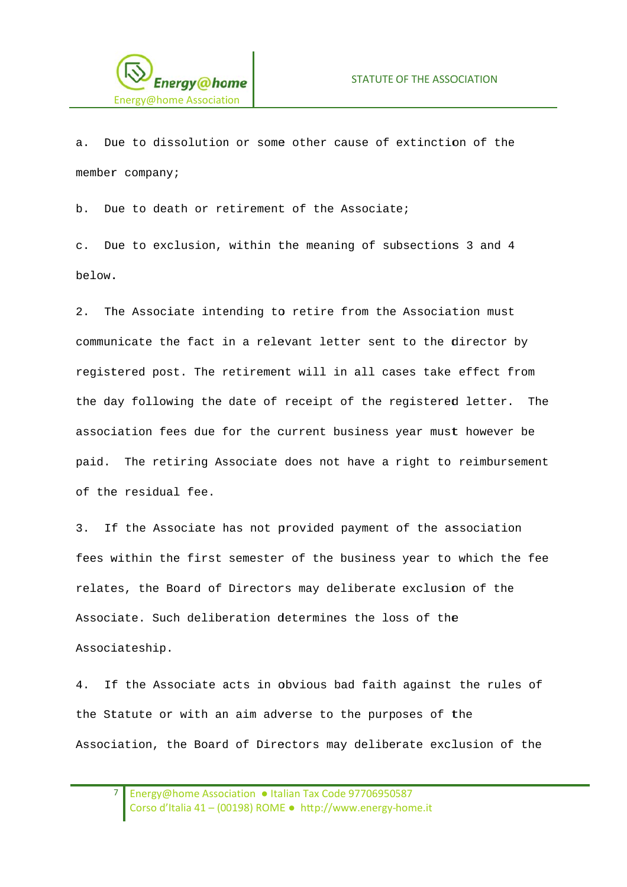

 $a<sub>z</sub>$ Due to dissolution or some other cause of extinction of the member company;

Due to death or retirement of the Associate;  $h$ 

c. Due to exclusion, within the meaning of subsections 3 and 4 below.

 $2<sup>1</sup>$ The Associate intending to retire from the Association must communicate the fact in a relevant letter sent to the director by registered post. The retirement will in all cases take effect from the day following the date of receipt of the registered letter. The association fees due for the current business year must however be paid. The retiring Associate does not have a right to reimbursement of the residual fee.

If the Associate has not provided payment of the association  $\overline{3}$ . fees within the first semester of the business year to which the fee relates, the Board of Directors may deliberate exclusion of the Associate. Such deliberation determines the loss of the Associateship.

If the Associate acts in obvious bad faith against the rules of  $4<sup>1</sup>$ the Statute or with an aim adverse to the purposes of the Association, the Board of Directors may deliberate exclusion of the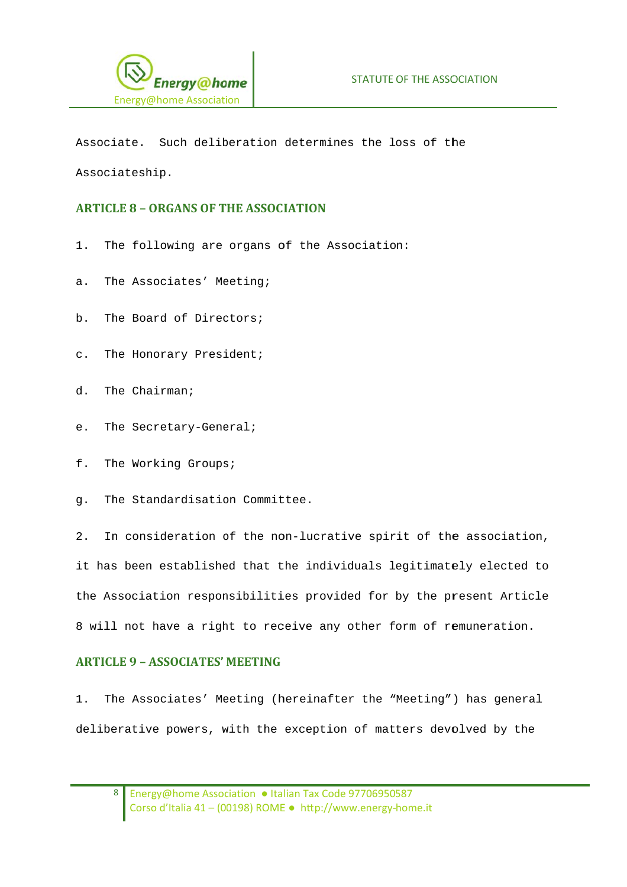

Associate. Such deliberation determines the loss of the Associateship.

## **ARTICLE 8 - ORGANS OF THE ASSOCIATION**

- The following are organs of the Association:  $1.$
- a. The Associates' Meeting;
- b. The Board of Directors;
- c. The Honorary President;
- d. The Chairman;
- The Secretary-General; e.
- f. The Working Groups;
- q. The Standardisation Committee.

In consideration of the non-lucrative spirit of the association,  $2.$ it has been established that the individuals legitimately elected to the Association responsibilities provided for by the present Article 8 will not have a right to receive any other form of remuneration.

### **ARTICLE 9 - ASSOCIATES' MEETING**

The Associates' Meeting (hereinafter the "Meeting") has general  $1.$ deliberative powers, with the exception of matters devolved by the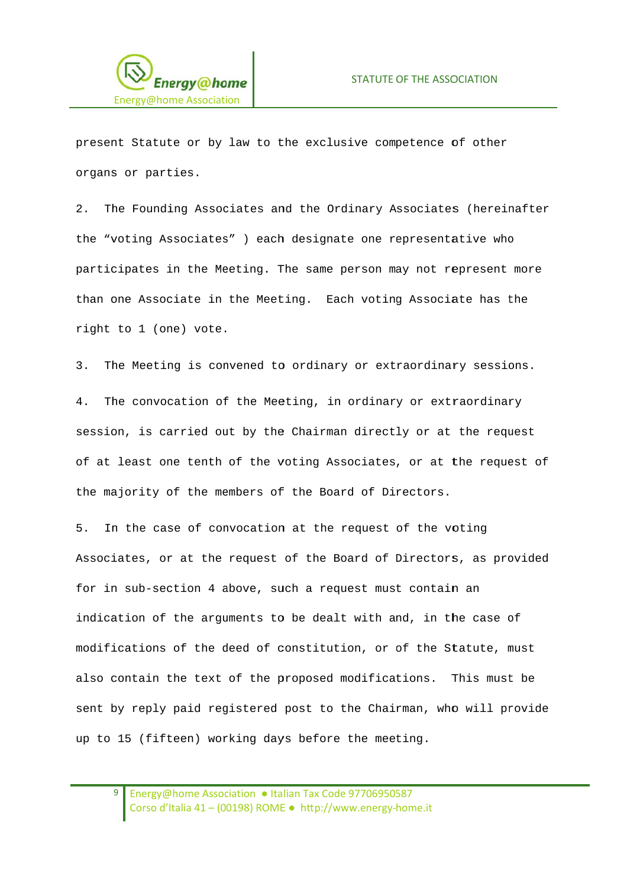

present Statute or by law to the exclusive competence of other organs or parties.

The Founding Associates and the Ordinary Associates (hereinafter  $2^{\circ}$ the "voting Associates" ) each designate one representative who participates in the Meeting. The same person may not represent more than one Associate in the Meeting. Each voting Associate has the right to 1 (one) vote.

The Meeting is convened to ordinary or extraordinary sessions.  $\overline{3}$ .

4. The convocation of the Meeting, in ordinary or extraordinary session, is carried out by the Chairman directly or at the request of at least one tenth of the voting Associates, or at the request of the majority of the members of the Board of Directors.

5. In the case of convocation at the request of the voting Associates, or at the request of the Board of Directors, as provided for in sub-section 4 above, such a request must contain an indication of the arguments to be dealt with and, in the case of modifications of the deed of constitution, or of the Statute, must also contain the text of the proposed modifications. This must be sent by reply paid registered post to the Chairman, who will provide up to 15 (fifteen) working days before the meeting.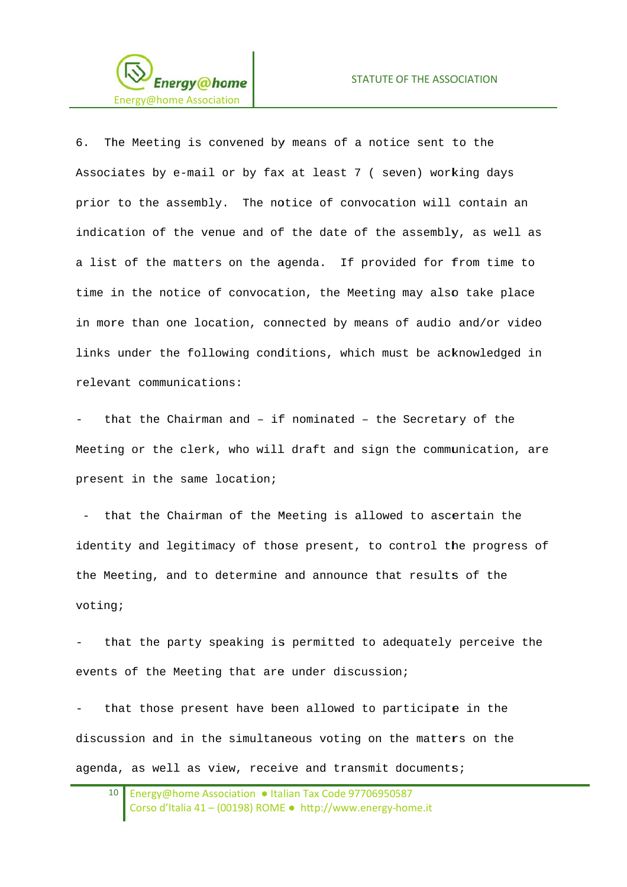

6. The Meeting is convened by means of a notice sent to the Associates by e-mail or by fax at least 7 ( seven) working days prior to the assembly. The notice of convocation will contain an indication of the venue and of the date of the assembly, as well as a list of the matters on the agenda. If provided for from time to time in the notice of convocation, the Meeting may also take place in more than one location, connected by means of audio and/or video links under the following conditions, which must be acknowledged in relevant communications:

that the Chairman and - if nominated - the Secretary of the Meeting or the clerk, who will draft and sign the communication, are present in the same location;

- that the Chairman of the Meeting is allowed to ascertain the identity and legitimacy of those present, to control the progress of the Meeting, and to determine and announce that results of the voting;

that the party speaking is permitted to adequately perceive the events of the Meeting that are under discussion;

that those present have been allowed to participate in the discussion and in the simultaneous voting on the matters on the agenda, as well as view, receive and transmit documents;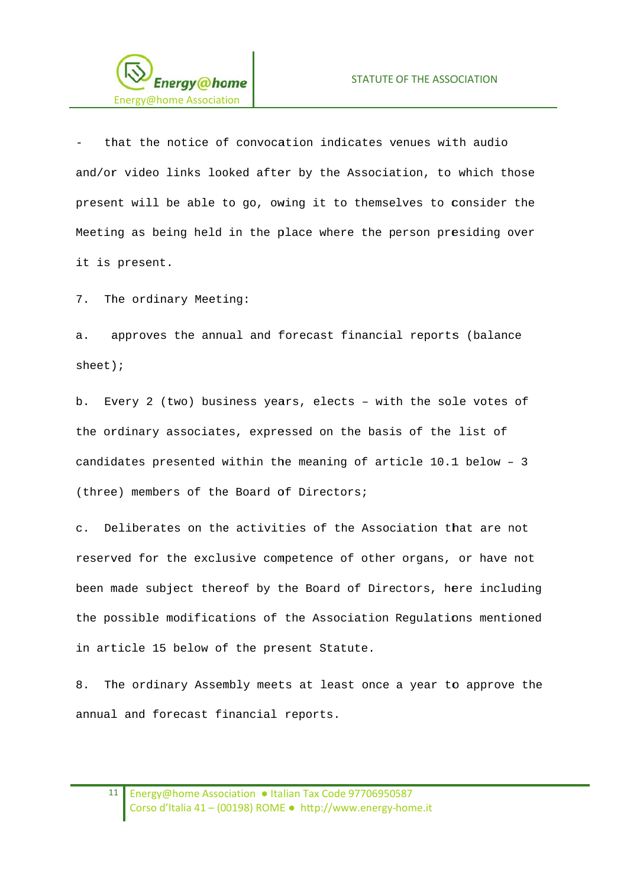

that the notice of convocation indicates venues with audio and/or video links looked after by the Association, to which those present will be able to go, owing it to themselves to consider the Meeting as being held in the place where the person presiding over it is present.

The ordinary Meeting:  $7<sub>1</sub>$ 

approves the annual and forecast financial reports (balance  $\overline{a}$ .  $sheet)$ ;

b. Every 2 (two) business years, elects - with the sole votes of the ordinary associates, expressed on the basis of the list of candidates presented within the meaning of article 10.1 below - 3 (three) members of the Board of Directors;

Deliberates on the activities of the Association that are not  $\mathcal{C}$ . reserved for the exclusive competence of other organs, or have not been made subject thereof by the Board of Directors, here including the possible modifications of the Association Regulations mentioned in article 15 below of the present Statute.

The ordinary Assembly meets at least once a year to approve the 8. annual and forecast financial reports.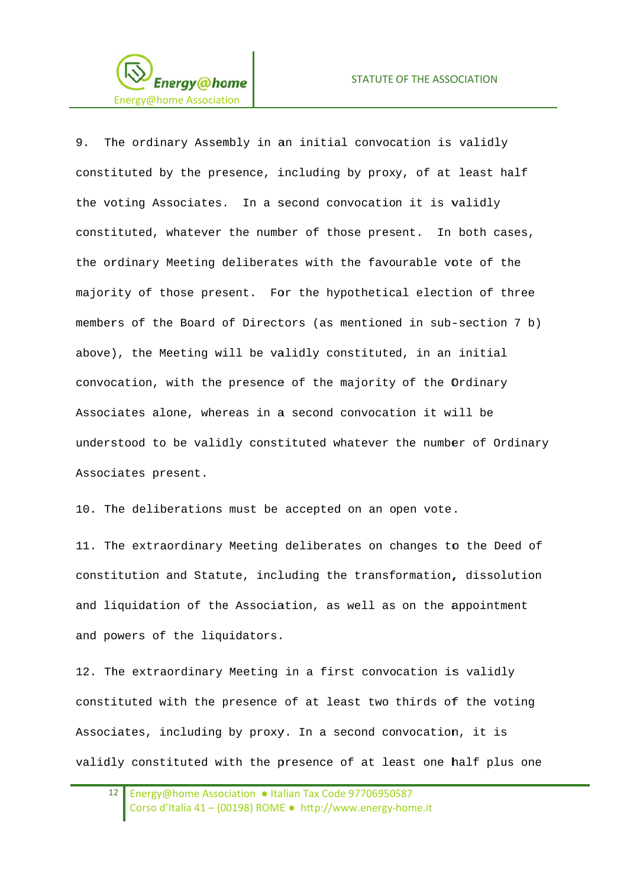

9. The ordinary Assembly in an initial convocation is validly constituted by the presence, including by proxy, of at least half the voting Associates. In a second convocation it is validly constituted, whatever the number of those present. In both cases, the ordinary Meeting deliberates with the favourable yote of the majority of those present. For the hypothetical election of three members of the Board of Directors (as mentioned in sub-section 7 b) above), the Meeting will be validly constituted, in an initial convocation, with the presence of the majority of the Ordinary Associates alone, whereas in a second convocation it will be understood to be validly constituted whatever the number of Ordinary Associates present.

10. The deliberations must be accepted on an open vote.

11. The extraordinary Meeting deliberates on changes to the Deed of constitution and Statute, including the transformation, dissolution and liquidation of the Association, as well as on the appointment and powers of the liquidators.

12. The extraordinary Meeting in a first convocation is validly constituted with the presence of at least two thirds of the voting Associates, including by proxy. In a second convocation, it is validly constituted with the presence of at least one half plus one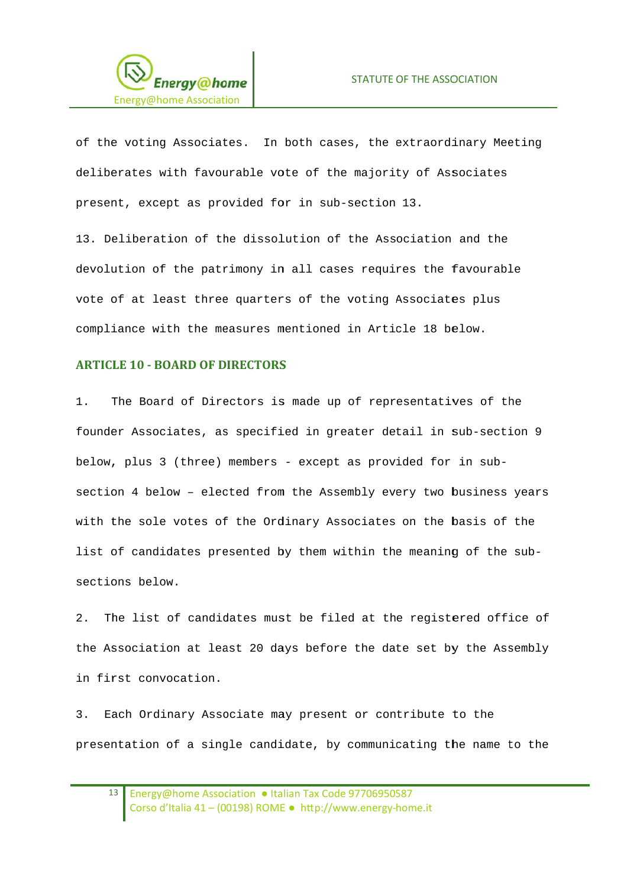

of the voting Associates. In both cases, the extraordinary Meeting deliberates with favourable vote of the majority of Associates present, except as provided for in sub-section 13.

13. Deliberation of the dissolution of the Association and the devolution of the patrimony in all cases requires the favourable vote of at least three quarters of the voting Associates plus compliance with the measures mentioned in Article 18 below.

### **ARTICLE 10 - BOARD OF DIRECTORS**

 $1$ . The Board of Directors is made up of representatives of the founder Associates, as specified in greater detail in sub-section 9 below, plus 3 (three) members - except as provided for in subsection 4 below - elected from the Assembly every two business years with the sole votes of the Ordinary Associates on the basis of the list of candidates presented by them within the meaning of the subsections below.

 $2<sup>1</sup>$ The list of candidates must be filed at the registered office of the Association at least 20 days before the date set by the Assembly in first convocation.

 $3.$ Each Ordinary Associate may present or contribute to the presentation of a single candidate, by communicating the name to the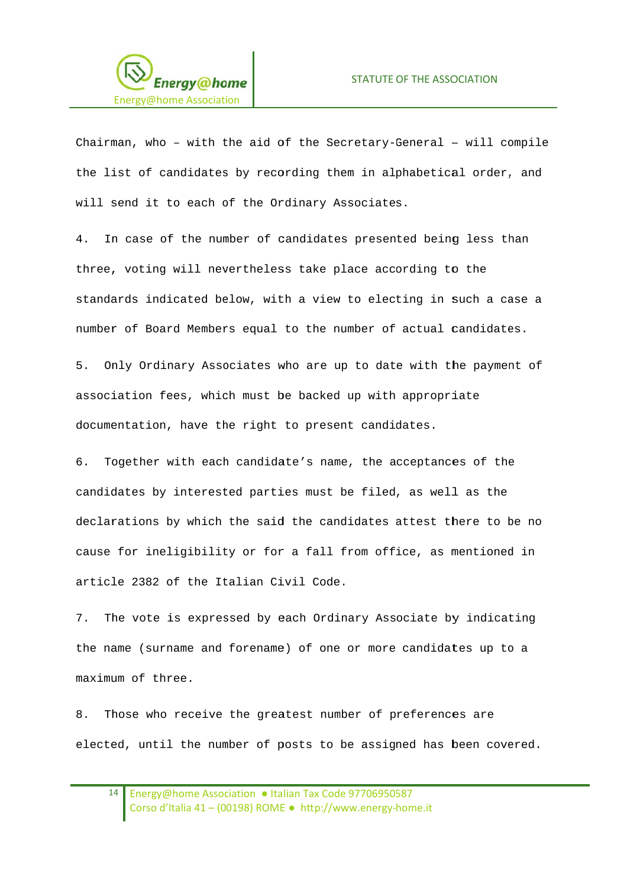

Chairman, who - with the aid of the Secretary-General - will compile the list of candidates by recording them in alphabetical order, and will send it to each of the Ordinary Associates.

In case of the number of candidates presented being less than  $\overline{4}$ three, voting will nevertheless take place according to the standards indicated below, with a view to electing in such a case a number of Board Members equal to the number of actual candidates.

 $5<sub>1</sub>$ Only Ordinary Associates who are up to date with the payment of association fees, which must be backed up with appropriate documentation, have the right to present candidates.

6. Together with each candidate's name, the acceptances of the candidates by interested parties must be filed, as well as the declarations by which the said the candidates attest there to be no cause for ineligibility or for a fall from office, as mentioned in article 2382 of the Italian Civil Code.

The vote is expressed by each Ordinary Associate by indicating 7. the name (surname and forename) of one or more candidates up to a maximum of three.

Those who receive the greatest number of preferences are 8. elected, until the number of posts to be assigned has been covered.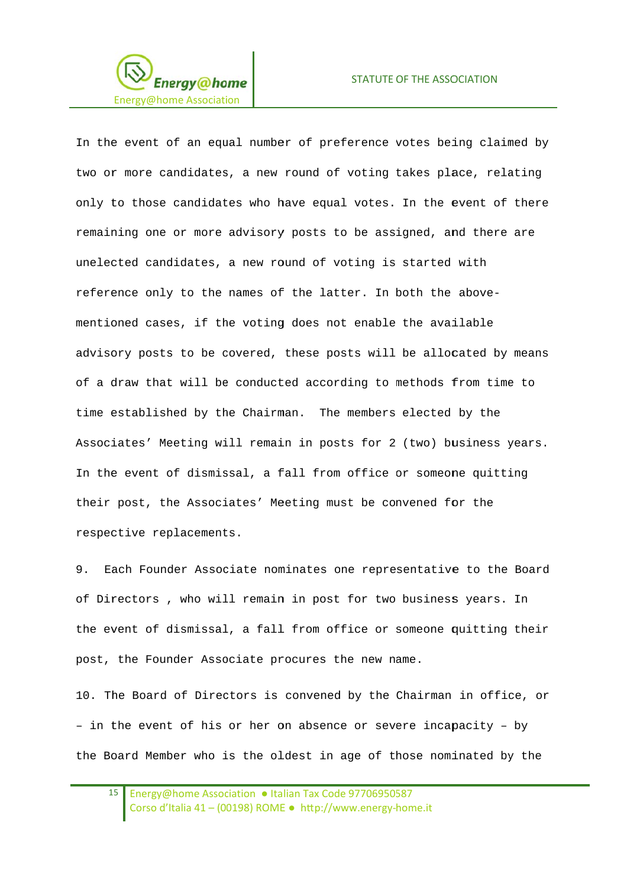

In the event of an equal number of preference votes being claimed by two or more candidates, a new round of voting takes place, relating only to those candidates who have equal votes. In the event of there remaining one or more advisory posts to be assigned, and there are unelected candidates, a new round of voting is started with reference only to the names of the latter. In both the abovementioned cases, if the voting does not enable the available advisory posts to be covered, these posts will be allocated by means of a draw that will be conducted according to methods from time to time established by the Chairman. The members elected by the Associates' Meeting will remain in posts for 2 (two) business years. In the event of dismissal, a fall from office or someone quitting their post, the Associates' Meeting must be convened for the respective replacements.

9. Each Founder Associate nominates one representative to the Board of Directors, who will remain in post for two business years. In the event of dismissal, a fall from office or someone quitting their post, the Founder Associate procures the new name.

10. The Board of Directors is convened by the Chairman in office, or - in the event of his or her on absence or severe incapacity - by the Board Member who is the oldest in age of those nominated by the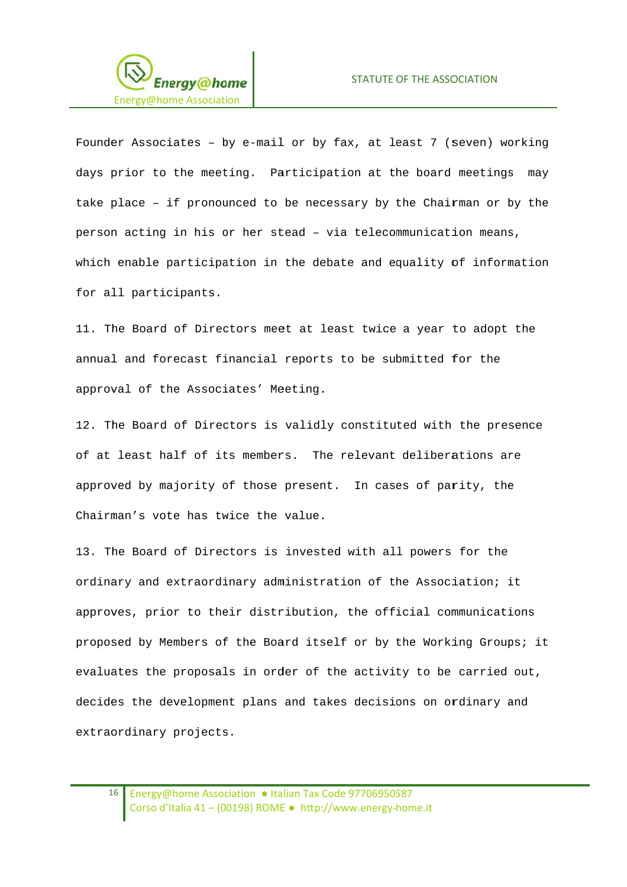

Founder Associates - by e-mail or by fax, at least 7 (seven) working days prior to the meeting. Participation at the board meetings may take place - if pronounced to be necessary by the Chairman or by the person acting in his or her stead - via telecommunication means, which enable participation in the debate and equality of information for all participants.

11. The Board of Directors meet at least twice a year to adopt the annual and forecast financial reports to be submitted for the approval of the Associates' Meeting.

12. The Board of Directors is validly constituted with the presence of at least half of its members. The relevant deliberations are approved by majority of those present. In cases of parity, the Chairman's vote has twice the value.

13. The Board of Directors is invested with all powers for the ordinary and extraordinary administration of the Association; it approves, prior to their distribution, the official communications proposed by Members of the Board itself or by the Working Groups; it evaluates the proposals in order of the activity to be carried out, decides the development plans and takes decisions on ordinary and extraordinary projects.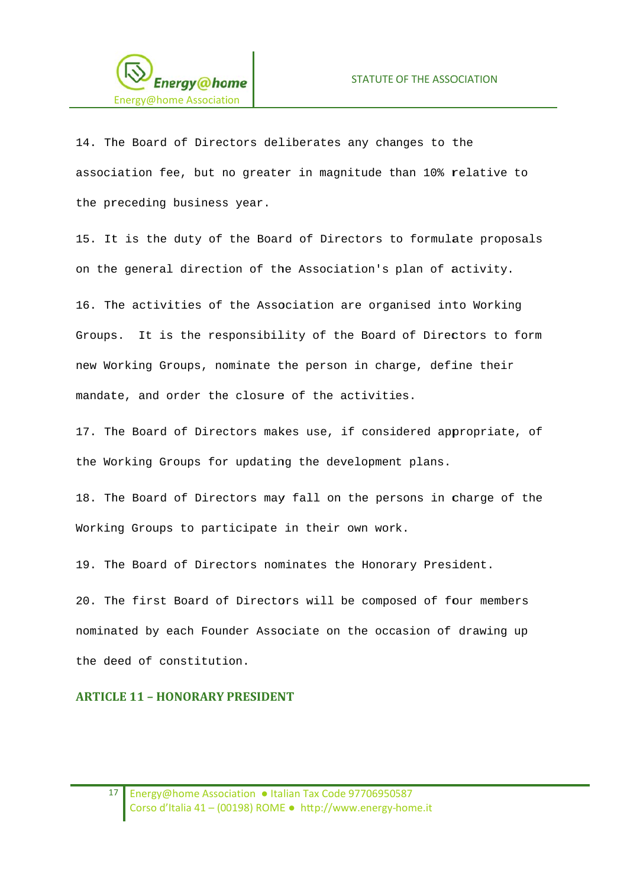

14. The Board of Directors deliberates any changes to the association fee, but no greater in magnitude than 10% relative to the preceding business year.

15. It is the duty of the Board of Directors to formulate proposals on the general direction of the Association's plan of activity. 16. The activities of the Association are organised into Working

Groups. It is the responsibility of the Board of Directors to form new Working Groups, nominate the person in charge, define their mandate, and order the closure of the activities.

17. The Board of Directors makes use, if considered appropriate, of the Working Groups for updating the development plans.

18. The Board of Directors may fall on the persons in charge of the Working Groups to participate in their own work.

19. The Board of Directors nominates the Honorary President.

20. The first Board of Directors will be composed of four members nominated by each Founder Associate on the occasion of drawing up the deed of constitution.

### **ARTICLE 11 - HONORARY PRESIDENT**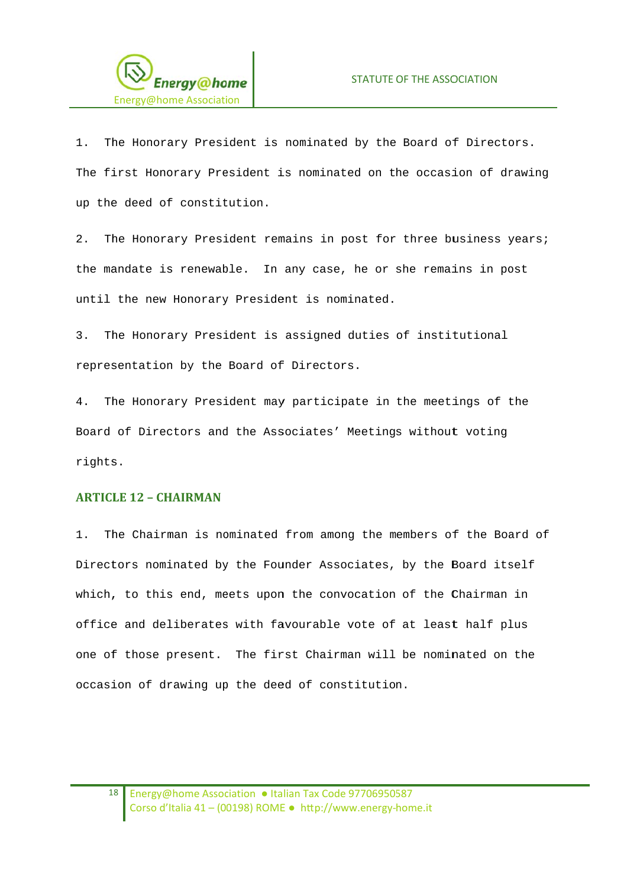

The Honorary President is nominated by the Board of Directors.  $1.$ The first Honorary President is nominated on the occasion of drawing up the deed of constitution.

The Honorary President remains in post for three business years;  $2.$ the mandate is renewable. In any case, he or she remains in post until the new Honorary President is nominated.

3. The Honorary President is assigned duties of institutional representation by the Board of Directors.

4. The Honorary President may participate in the meetings of the Board of Directors and the Associates' Meetings without voting rights.

### **ARTICLE 12 - CHAIRMAN**

The Chairman is nominated from among the members of the Board of  $1$ . Directors nominated by the Founder Associates, by the Board itself which, to this end, meets upon the convocation of the Chairman in office and deliberates with favourable vote of at least half plus one of those present. The first Chairman will be nominated on the occasion of drawing up the deed of constitution.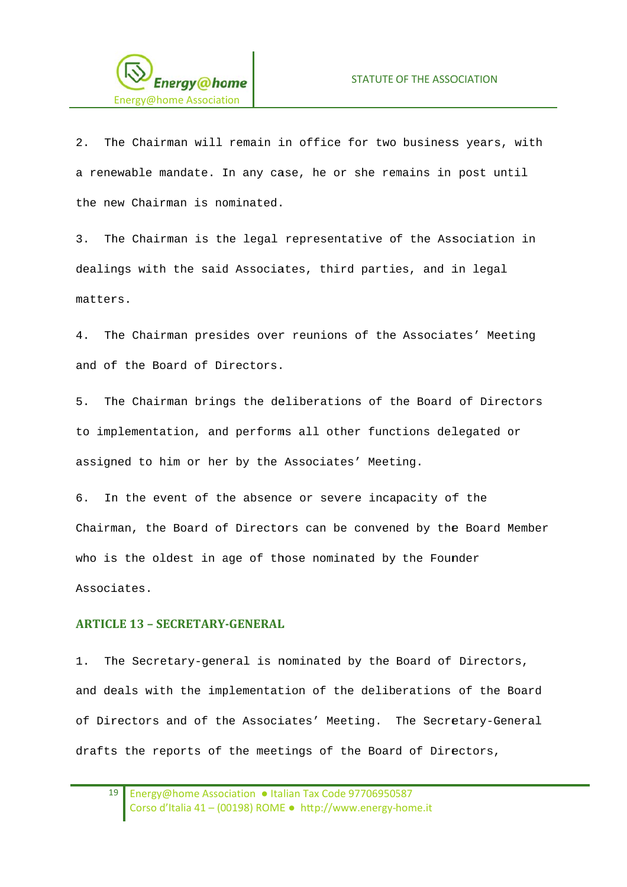

The Chairman will remain in office for two business years, with  $2^{\circ}$ a renewable mandate. In any case, he or she remains in post until the new Chairman is nominated.

The Chairman is the legal representative of the Association in  $\overline{3}$ . dealings with the said Associates, third parties, and in legal matters.

 $4.$ The Chairman presides over reunions of the Associates' Meeting and of the Board of Directors.

 $5.$ The Chairman brings the deliberations of the Board of Directors to implementation, and performs all other functions delegated or assigned to him or her by the Associates' Meeting.

In the event of the absence or severe incapacity of the 6. Chairman, the Board of Directors can be convened by the Board Member who is the oldest in age of those nominated by the Founder Associates.

### **ARTICLE 13 - SECRETARY-GENERAL**

The Secretary-general is nominated by the Board of Directors,  $1$ . and deals with the implementation of the deliberations of the Board of Directors and of the Associates' Meeting. The Secretary-General drafts the reports of the meetings of the Board of Directors,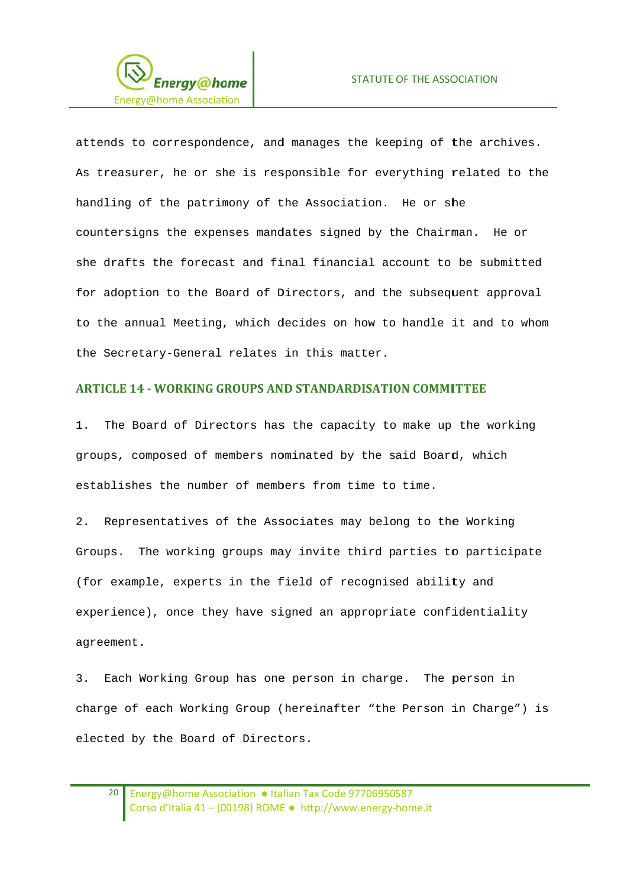

attends to correspondence, and manages the keeping of the archives. As treasurer, he or she is responsible for everything related to the handling of the patrimony of the Association. He or she countersigns the expenses mandates signed by the Chairman. He or she drafts the forecast and final financial account to be submitted for adoption to the Board of Directors, and the subsequent approval to the annual Meeting, which decides on how to handle it and to whom the Secretary-General relates in this matter.

### **ARTICLE 14 - WORKING GROUPS AND STANDARDISATION COMMITTEE**

 $1.$ The Board of Directors has the capacity to make up the working groups, composed of members nominated by the said Board, which establishes the number of members from time to time.

2. Representatives of the Associates may belong to the Working Groups. The working groups may invite third parties to participate (for example, experts in the field of recognised ability and experience), once they have signed an appropriate confidentiality agreement.

3. Each Working Group has one person in charge. The person in charge of each Working Group (hereinafter "the Person in Charge") is elected by the Board of Directors.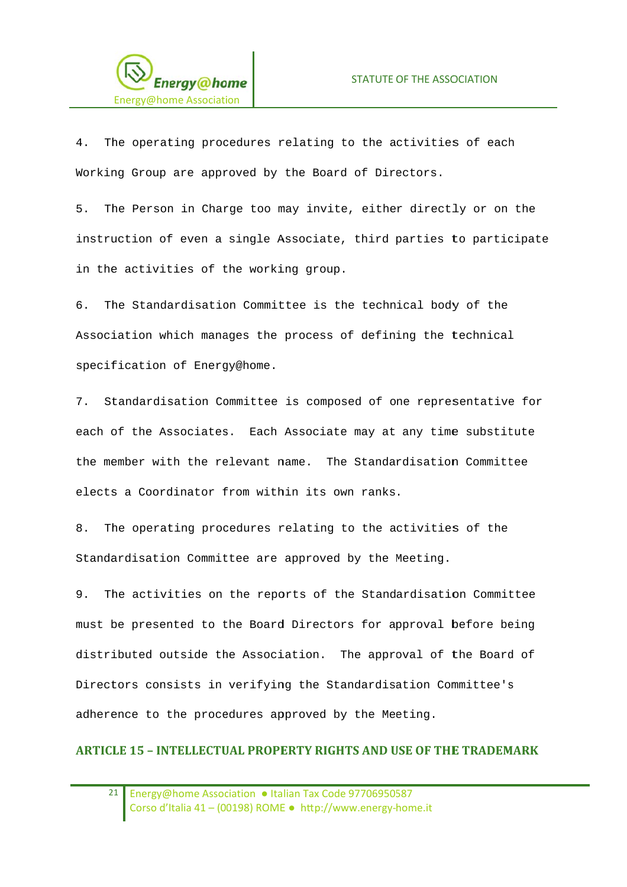

4. The operating procedures relating to the activities of each Working Group are approved by the Board of Directors.

The Person in Charge too may invite, either directly or on the 5. instruction of even a single Associate, third parties to participate in the activities of the working group.

The Standardisation Committee is the technical body of the  $6<sup>1</sup>$ Association which manages the process of defining the technical specification of Energy@home.

7. Standardisation Committee is composed of one representative for each of the Associates. Each Associate may at any time substitute the member with the relevant name. The Standardisation Committee elects a Coordinator from within its own ranks.

The operating procedures relating to the activities of the 8. Standardisation Committee are approved by the Meeting.

The activities on the reports of the Standardisation Committee  $9<sub>1</sub>$ must be presented to the Board Directors for approval before being distributed outside the Association. The approval of the Board of Directors consists in verifying the Standardisation Committee's adherence to the procedures approved by the Meeting.

### **ARTICLE 15 - INTELLECTUAL PROPERTY RIGHTS AND USE OF THE TRADEMARK**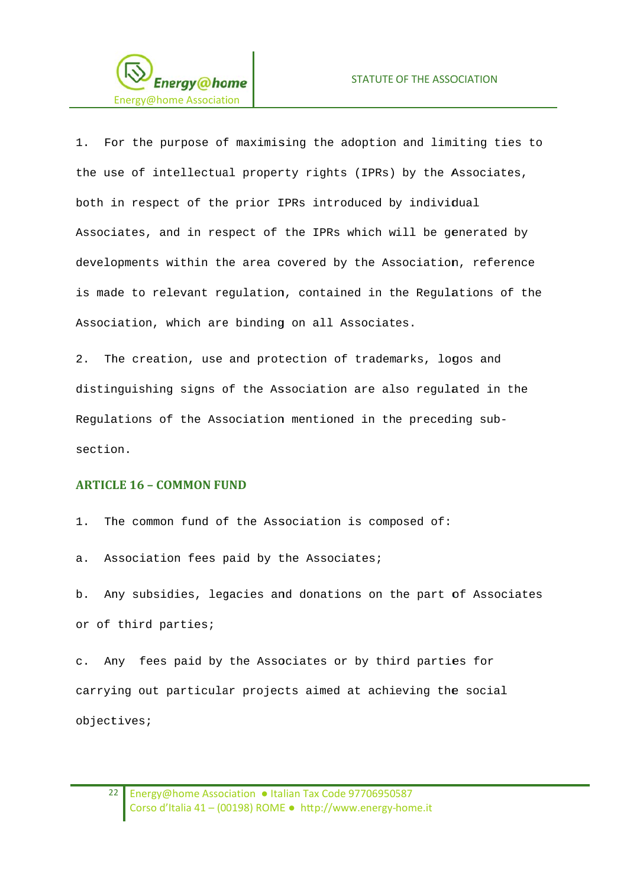

1. For the purpose of maximising the adoption and limiting ties to the use of intellectual property rights (IPRs) by the Associates, both in respect of the prior IPRs introduced by individual Associates, and in respect of the IPRs which will be generated by developments within the area covered by the Association, reference is made to relevant requlation, contained in the Requlations of the Association, which are binding on all Associates.

 $2<sup>1</sup>$ The creation, use and protection of trademarks, logos and distinguishing signs of the Association are also regulated in the Regulations of the Association mentioned in the preceding subsection.

### **ARTICLE 16 - COMMON FUND**

 $1<sub>1</sub>$ The common fund of the Association is composed of:

Association fees paid by the Associates; a.

b. Any subsidies, legacies and donations on the part of Associates or of third parties;

Any fees paid by the Associates or by third parties for  $\circ$ . carrying out particular projects aimed at achieving the social objectives;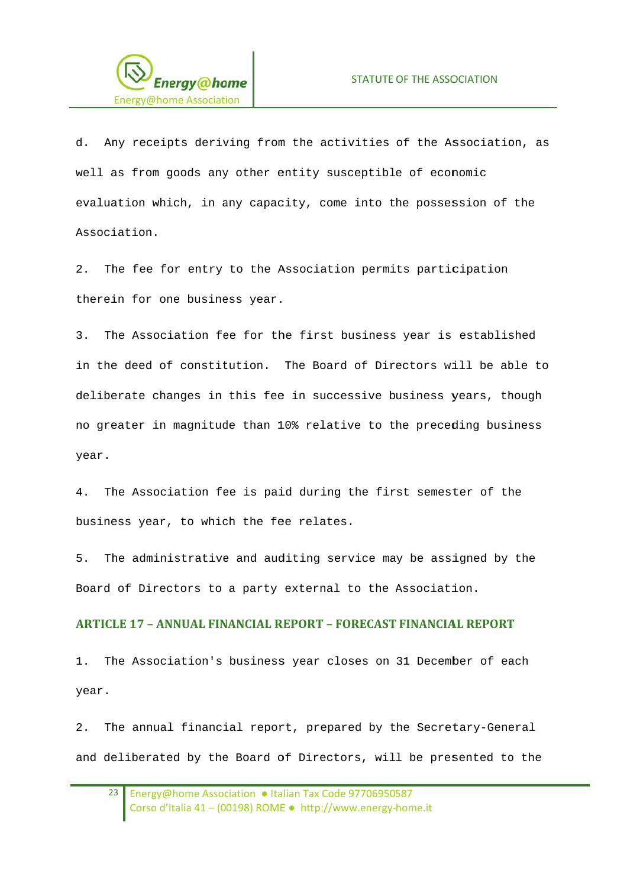

d. Any receipts deriving from the activities of the Association, as well as from goods any other entity susceptible of economic evaluation which, in any capacity, come into the possession of the Association.

 $2<sup>1</sup>$ The fee for entry to the Association permits participation therein for one business year.

 $\overline{z}$ The Association fee for the first business year is established in the deed of constitution. The Board of Directors will be able to deliberate changes in this fee in successive business years, though no greater in magnitude than 10% relative to the preceding business year.

4. The Association fee is paid during the first semester of the business year, to which the fee relates.

The administrative and auditing service may be assigned by the  $5<sub>1</sub>$ Board of Directors to a party external to the Association.

### **ARTICLE 17 - ANNUAL FINANCIAL REPORT - FORECAST FINANCIAL REPORT**

 $1$ . The Association's business year closes on 31 December of each year.

 $2$ . The annual financial report, prepared by the Secretary-General and deliberated by the Board of Directors, will be presented to the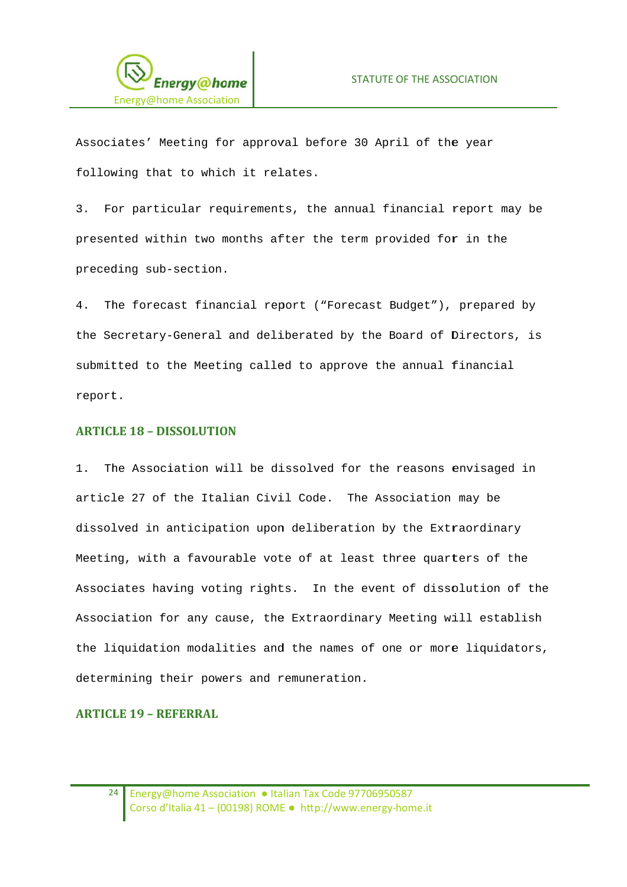

Associates' Meeting for approval before 30 April of the year following that to which it relates.

3. For particular requirements, the annual financial report may be presented within two months after the term provided for in the preceding sub-section.

The forecast financial report ("Forecast Budget"), prepared by  $4<sup>1</sup>$ the Secretary-General and deliberated by the Board of Directors, is submitted to the Meeting called to approve the annual financial report.

### **ARTICLE 18 - DISSOLUTION**

1. The Association will be dissolved for the reasons envisaged in article 27 of the Italian Civil Code. The Association may be dissolved in anticipation upon deliberation by the Extraordinary Meeting, with a favourable vote of at least three quarters of the Associates having voting rights. In the event of dissolution of the Association for any cause, the Extraordinary Meeting will establish the liquidation modalities and the names of one or more liquidators, determining their powers and remuneration.

### **ARTICLE 19 - REFERRAL**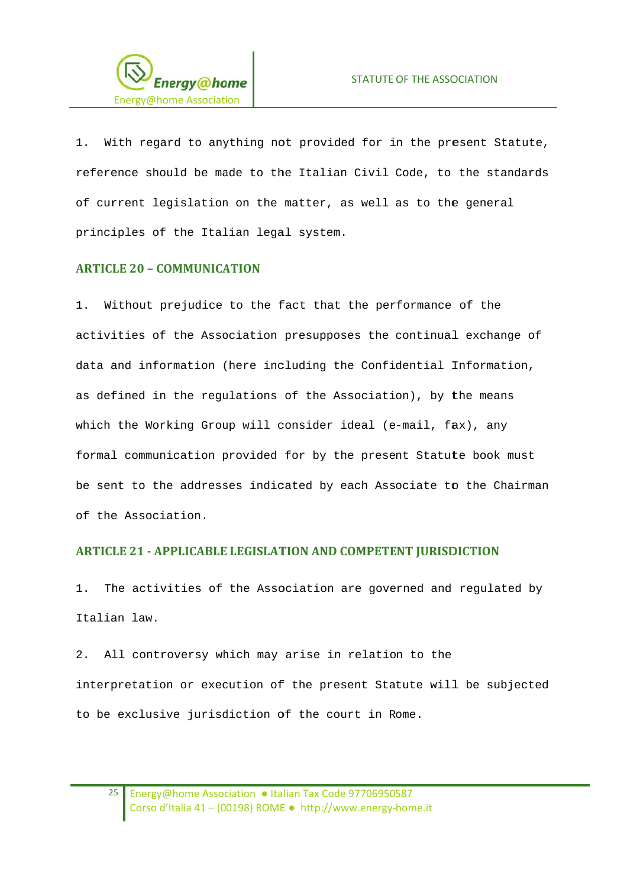

With regard to anything not provided for in the present Statute,  $1.$ reference should be made to the Italian Civil Code, to the standards of current legislation on the matter, as well as to the general principles of the Italian legal system.

### **ARTICLE 20 - COMMUNICATION**

1. Without prejudice to the fact that the performance of the activities of the Association presupposes the continual exchange of data and information (here including the Confidential Information, as defined in the regulations of the Association), by the means which the Working Group will consider ideal (e-mail, fax), any formal communication provided for by the present Statute book must be sent to the addresses indicated by each Associate to the Chairman of the Association.

### **ARTICLE 21 - APPLICABLE LEGISLATION AND COMPETENT JURISDICTION**

The activities of the Association are governed and regulated by  $1.$ Italian law.

2. All controversy which may arise in relation to the interpretation or execution of the present Statute will be subjected to be exclusive jurisdiction of the court in Rome.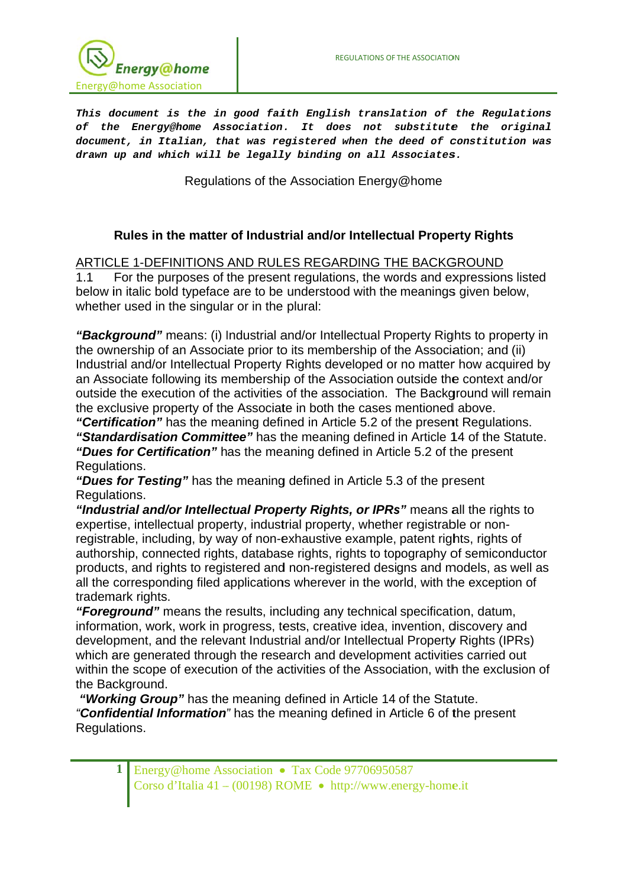

This document is the in good faith English translation of the Regulations of the Energy@home Association. It does not substitute the original document, in Italian, that was registered when the deed of constitution was drawn up and which will be legally binding on all Associates.

Regulations of the Association Energy@home

## Rules in the matter of Industrial and/or Intellectual Property Rights

ARTICLE 1-DEFINITIONS AND RULES REGARDING THE BACKGROUND

For the purposes of the present regulations, the words and expressions listed  $1.1$ below in italic bold typeface are to be understood with the meanings given below, whether used in the singular or in the plural:

"Background" means: (i) Industrial and/or Intellectual Property Rights to property in the ownership of an Associate prior to its membership of the Association; and (ii) Industrial and/or Intellectual Property Rights developed or no matter how acquired by an Associate following its membership of the Association outside the context and/or outside the execution of the activities of the association. The Background will remain the exclusive property of the Associate in both the cases mentioned above.

"Certification" has the meaning defined in Article 5.2 of the present Regulations. "Standardisation Committee" has the meaning defined in Article 14 of the Statute.

"Dues for Certification" has the meaning defined in Article 5.2 of the present Regulations.

"Dues for Testing" has the meaning defined in Article 5.3 of the present Regulations.

"Industrial and/or Intellectual Property Rights, or IPRs" means all the rights to expertise, intellectual property, industrial property, whether registrable or nonregistrable, including, by way of non-exhaustive example, patent rights, rights of authorship, connected rights, database rights, rights to topography of semiconductor products, and rights to registered and non-registered designs and models, as well as all the corresponding filed applications wherever in the world, with the exception of trademark rights.

"Forearound" means the results, including any technical specification, datum, information, work, work in progress, tests, creative idea, invention, discovery and development, and the relevant Industrial and/or Intellectual Property Rights (IPRs) which are generated through the research and development activities carried out within the scope of execution of the activities of the Association, with the exclusion of the Background.

"Working Group" has the meaning defined in Article 14 of the Statute. "Confidential Information" has the meaning defined in Article 6 of the present Regulations.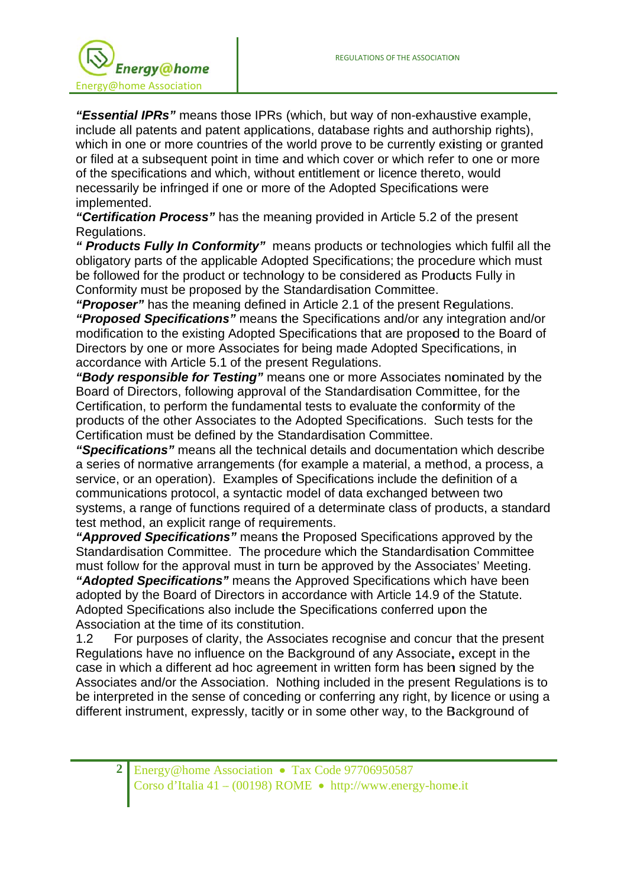

"Essential IPRs" means those IPRs (which, but way of non-exhaustive example, include all patents and patent applications, database rights and authorship rights), which in one or more countries of the world prove to be currently existing or granted or filed at a subsequent point in time and which cover or which refer to one or more of the specifications and which, without entitlement or licence thereto, would necessarily be infringed if one or more of the Adopted Specifications were implemented.

"Certification Process" has the meaning provided in Article 5.2 of the present Regulations.

" Products Fully In Conformity" means products or technologies which fulfil all the obligatory parts of the applicable Adopted Specifications; the procedure which must be followed for the product or technology to be considered as Products Fully in Conformity must be proposed by the Standardisation Committee.

"Proposer" has the meaning defined in Article 2.1 of the present Regulations. "Proposed Specifications" means the Specifications and/or any integration and/or modification to the existing Adopted Specifications that are proposed to the Board of Directors by one or more Associates for being made Adopted Specifications, in accordance with Article 5.1 of the present Regulations.

"Body responsible for Testing" means one or more Associates nominated by the Board of Directors, following approval of the Standardisation Committee, for the Certification, to perform the fundamental tests to evaluate the conformity of the products of the other Associates to the Adopted Specifications. Such tests for the Certification must be defined by the Standardisation Committee.

"Specifications" means all the technical details and documentation which describe a series of normative arrangements (for example a material, a method, a process, a service, or an operation). Examples of Specifications include the definition of a communications protocol, a syntactic model of data exchanged between two systems, a range of functions required of a determinate class of products, a standard test method, an explicit range of requirements.

"Approved Specifications" means the Proposed Specifications approved by the Standardisation Committee. The procedure which the Standardisation Committee must follow for the approval must in turn be approved by the Associates' Meeting.

"Adopted Specifications" means the Approved Specifications which have been adopted by the Board of Directors in accordance with Article 14.9 of the Statute. Adopted Specifications also include the Specifications conferred upon the Association at the time of its constitution.

 $1.2$ For purposes of clarity, the Associates recognise and concur that the present Regulations have no influence on the Background of any Associate, except in the case in which a different ad hoc agreement in written form has been signed by the Associates and/or the Association. Nothing included in the present Regulations is to be interpreted in the sense of conceding or conferring any right, by licence or using a different instrument, expressly, tacitly or in some other way, to the Background of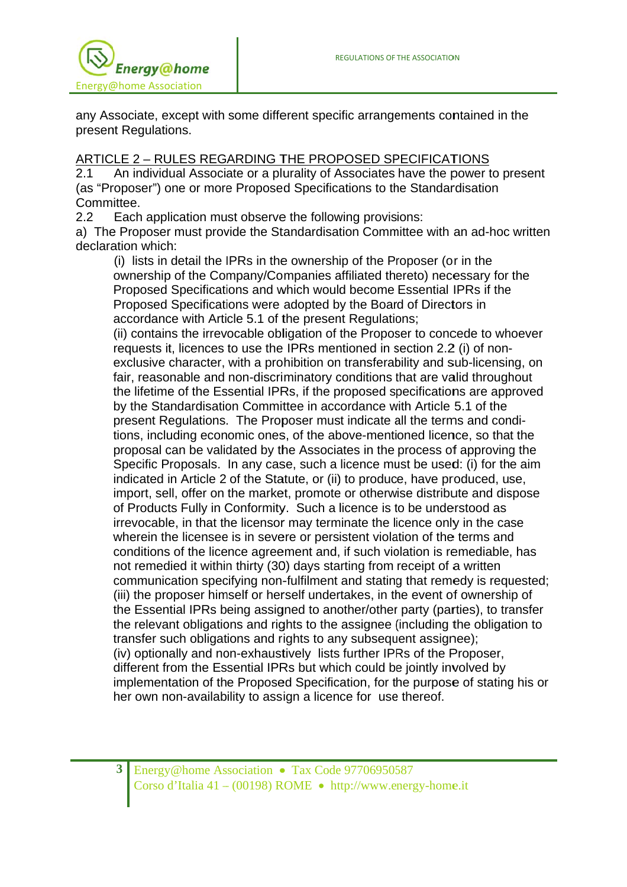

any Associate, except with some different specific arrangements contained in the present Regulations.

# ARTICLE 2 - RULES REGARDING THE PROPOSED SPECIFICATIONS

An individual Associate or a plurality of Associates have the power to present  $2.1$ (as "Proposer") one or more Proposed Specifications to the Standardisation Committee.

 $2.2$ Each application must observe the following provisions:

a) The Proposer must provide the Standardisation Committee with an ad-hoc written declaration which:

(i) lists in detail the IPRs in the ownership of the Proposer (or in the ownership of the Company/Companies affiliated thereto) necessary for the Proposed Specifications and which would become Essential IPRs if the Proposed Specifications were adopted by the Board of Directors in accordance with Article 5.1 of the present Regulations:

(ii) contains the irrevocable obligation of the Proposer to concede to whoever requests it, licences to use the IPRs mentioned in section 2.2 (i) of nonexclusive character, with a prohibition on transferability and sub-licensing, on fair, reasonable and non-discriminatory conditions that are valid throughout the lifetime of the Essential IPRs, if the proposed specifications are approved by the Standardisation Committee in accordance with Article 5.1 of the present Regulations. The Proposer must indicate all the terms and conditions, including economic ones, of the above-mentioned licence, so that the proposal can be validated by the Associates in the process of approving the Specific Proposals. In any case, such a licence must be used: (i) for the aim indicated in Article 2 of the Statute, or (ii) to produce, have produced, use, import, sell, offer on the market, promote or otherwise distribute and dispose of Products Fully in Conformity. Such a licence is to be understood as irrevocable, in that the licensor may terminate the licence only in the case wherein the licensee is in severe or persistent violation of the terms and conditions of the licence agreement and, if such violation is remediable, has not remedied it within thirty (30) days starting from receipt of a written communication specifying non-fulfilment and stating that remedy is requested; (iii) the proposer himself or herself undertakes, in the event of ownership of the Essential IPRs being assigned to another/other party (parties), to transfer the relevant obligations and rights to the assignee (including the obligation to transfer such obligations and rights to any subsequent assignee); (iv) optionally and non-exhaustively lists further IPRs of the Proposer, different from the Essential IPRs but which could be jointly involved by implementation of the Proposed Specification, for the purpose of stating his or her own non-availability to assign a licence for use thereof.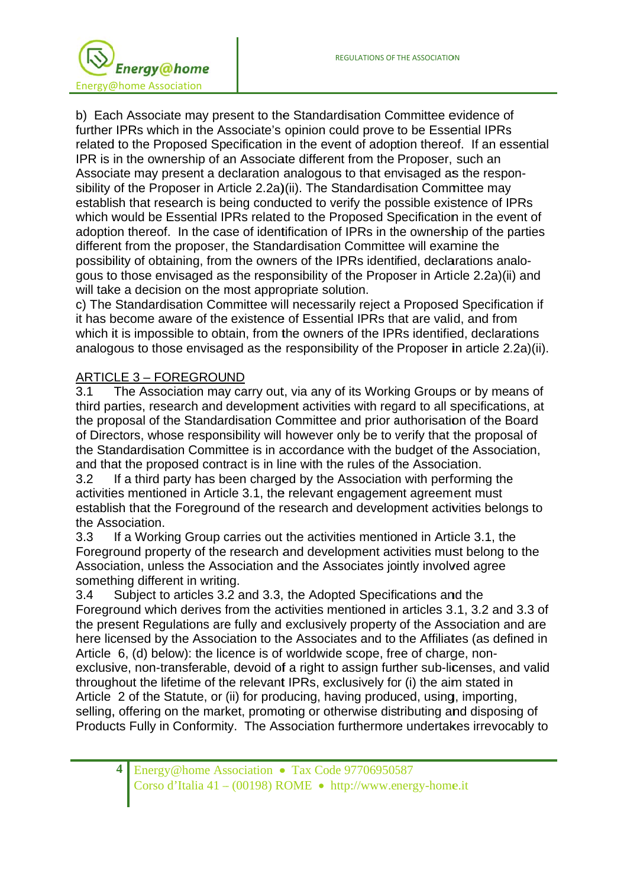

b) Each Associate may present to the Standardisation Committee evidence of further IPRs which in the Associate's opinion could prove to be Essential IPRs related to the Proposed Specification in the event of adoption thereof. If an essential IPR is in the ownership of an Associate different from the Proposer, such an Associate may present a declaration analogous to that envisaged as the responsibility of the Proposer in Article 2.2a)(ii). The Standardisation Committee may establish that research is being conducted to verify the possible existence of IPRs which would be Essential IPRs related to the Proposed Specification in the event of adoption thereof. In the case of identification of IPRs in the ownership of the parties different from the proposer, the Standardisation Committee will examine the possibility of obtaining, from the owners of the IPRs identified, declarations analogous to those envisaged as the responsibility of the Proposer in Article 2.2a)(ii) and will take a decision on the most appropriate solution.

c) The Standardisation Committee will necessarily reject a Proposed Specification if it has become aware of the existence of Essential IPRs that are valid, and from which it is impossible to obtain, from the owners of the IPRs identified, declarations analogous to those envisaged as the responsibility of the Proposer in article 2.2a)(ii).

## **ARTICLE 3 - FOREGROUND**

 $3.1$ The Association may carry out, via any of its Working Groups or by means of third parties, research and development activities with regard to all specifications, at the proposal of the Standardisation Committee and prior authorisation of the Board of Directors, whose responsibility will however only be to verify that the proposal of the Standardisation Committee is in accordance with the budget of the Association, and that the proposed contract is in line with the rules of the Association.

 $3.2$ If a third party has been charged by the Association with performing the activities mentioned in Article 3.1, the relevant engagement agreement must establish that the Foreground of the research and development activities belongs to the Association.

 $3.3$ If a Working Group carries out the activities mentioned in Article 3.1, the Foreground property of the research and development activities must belong to the Association, unless the Association and the Associates jointly involved agree something different in writing.

Subject to articles 3.2 and 3.3, the Adopted Specifications and the  $3.4$ Foreground which derives from the activities mentioned in articles 3.1, 3.2 and 3.3 of the present Regulations are fully and exclusively property of the Association and are here licensed by the Association to the Associates and to the Affiliates (as defined in Article 6, (d) below): the licence is of worldwide scope, free of charge, nonexclusive, non-transferable, devoid of a right to assign further sub-licenses, and valid throughout the lifetime of the relevant IPRs, exclusively for (i) the aim stated in Article 2 of the Statute, or (ii) for producing, having produced, using, importing, selling, offering on the market, promoting or otherwise distributing and disposing of Products Fully in Conformity. The Association furthermore undertakes irrevocably to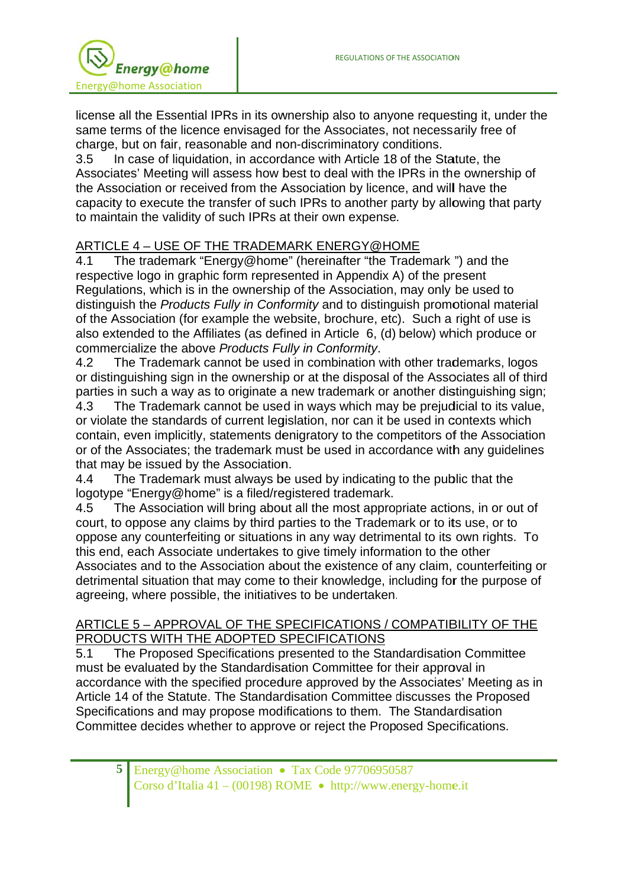

license all the Essential IPRs in its ownership also to anyone requesting it, under the same terms of the licence envisaged for the Associates, not necessarily free of charge, but on fair, reasonable and non-discriminatory conditions.

In case of liquidation, in accordance with Article 18 of the Statute, the  $3.5$ Associates' Meeting will assess how best to deal with the IPRs in the ownership of the Association or received from the Association by licence, and will have the capacity to execute the transfer of such IPRs to another party by allowing that party to maintain the validity of such IPRs at their own expense.

# ARTICLE 4 - USE OF THE TRADEMARK ENERGY@HOME

The trademark "Energy@home" (hereinafter "the Trademark ") and the  $4.1$ respective logo in graphic form represented in Appendix A) of the present Regulations, which is in the ownership of the Association, may only be used to distinguish the Products Fully in Conformity and to distinguish promotional material of the Association (for example the website, brochure, etc). Such a right of use is also extended to the Affiliates (as defined in Article 6, (d) below) which produce or commercialize the above Products Fully in Conformity.

 $4.2$ The Trademark cannot be used in combination with other trademarks, logos or distinguishing sign in the ownership or at the disposal of the Associates all of third parties in such a way as to originate a new trademark or another distinguishing sign;

The Trademark cannot be used in ways which may be prejudicial to its value, 4.3 or violate the standards of current legislation, nor can it be used in contexts which contain, even implicitly, statements denigratory to the competitors of the Association or of the Associates; the trademark must be used in accordance with any guidelines that may be issued by the Association.

The Trademark must always be used by indicating to the public that the  $4.4$ logotype "Energy@home" is a filed/registered trademark.

The Association will bring about all the most appropriate actions, in or out of 4.5 court, to oppose any claims by third parties to the Trademark or to its use, or to oppose any counterfeiting or situations in any way detrimental to its own rights. To this end, each Associate undertakes to give timely information to the other Associates and to the Association about the existence of any claim, counterfeiting or detrimental situation that may come to their knowledge, including for the purpose of agreeing, where possible, the initiatives to be undertaken.

## ARTICLE 5 - APPROVAL OF THE SPECIFICATIONS / COMPATIBILITY OF THE PRODUCTS WITH THE ADOPTED SPECIFICATIONS

The Proposed Specifications presented to the Standardisation Committee  $5.1$ must be evaluated by the Standardisation Committee for their approval in accordance with the specified procedure approved by the Associates' Meeting as in Article 14 of the Statute. The Standardisation Committee discusses the Proposed Specifications and may propose modifications to them. The Standardisation Committee decides whether to approve or reject the Proposed Specifications.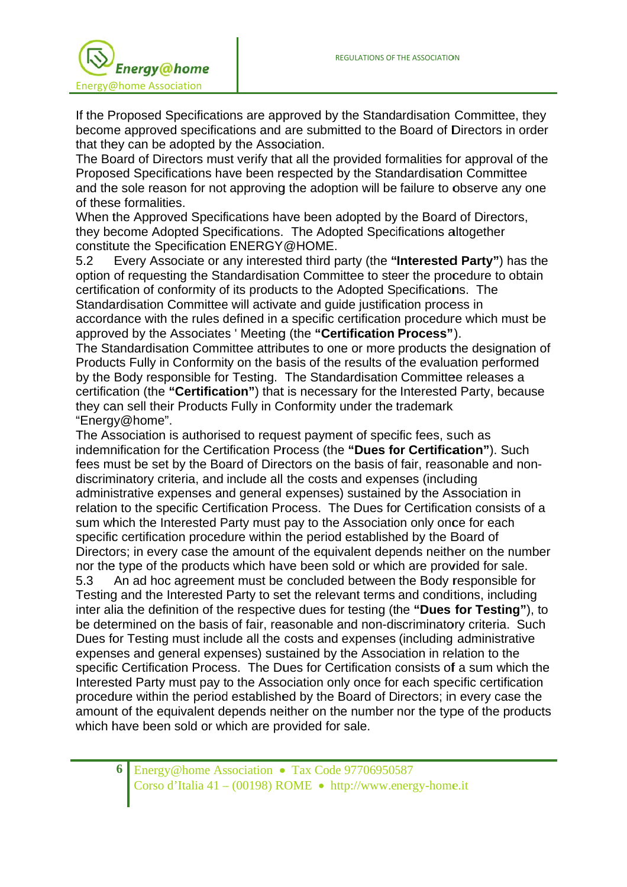

If the Proposed Specifications are approved by the Standardisation Committee, they become approved specifications and are submitted to the Board of Directors in order that they can be adopted by the Association.

The Board of Directors must verify that all the provided formalities for approval of the Proposed Specifications have been respected by the Standardisation Committee and the sole reason for not approving the adoption will be failure to observe any one of these formalities.

When the Approved Specifications have been adopted by the Board of Directors, they become Adopted Specifications. The Adopted Specifications altogether constitute the Specification ENERGY@HOME.

Every Associate or any interested third party (the "Interested Party") has the  $5.2$ option of requesting the Standardisation Committee to steer the procedure to obtain certification of conformity of its products to the Adopted Specifications. The Standardisation Committee will activate and guide justification process in accordance with the rules defined in a specific certification procedure which must be approved by the Associates 'Meeting (the "Certification Process").

The Standardisation Committee attributes to one or more products the designation of Products Fully in Conformity on the basis of the results of the evaluation performed by the Body responsible for Testing. The Standardisation Committee releases a certification (the "Certification") that is necessary for the Interested Party, because they can sell their Products Fully in Conformity under the trademark "Energy@home".

The Association is authorised to request payment of specific fees, such as indemnification for the Certification Process (the "Dues for Certification"). Such fees must be set by the Board of Directors on the basis of fair, reasonable and nondiscriminatory criteria, and include all the costs and expenses (including administrative expenses and general expenses) sustained by the Association in relation to the specific Certification Process. The Dues for Certification consists of a sum which the Interested Party must pay to the Association only once for each specific certification procedure within the period established by the Board of Directors; in every case the amount of the equivalent depends neither on the number nor the type of the products which have been sold or which are provided for sale.  $5.3$ An ad hoc agreement must be concluded between the Body responsible for Testing and the Interested Party to set the relevant terms and conditions, including inter alia the definition of the respective dues for testing (the "Dues for Testing"), to be determined on the basis of fair, reasonable and non-discriminatory criteria. Such Dues for Testing must include all the costs and expenses (including administrative expenses and general expenses) sustained by the Association in relation to the specific Certification Process. The Dues for Certification consists of a sum which the Interested Party must pay to the Association only once for each specific certification procedure within the period established by the Board of Directors; in every case the amount of the equivalent depends neither on the number nor the type of the products which have been sold or which are provided for sale.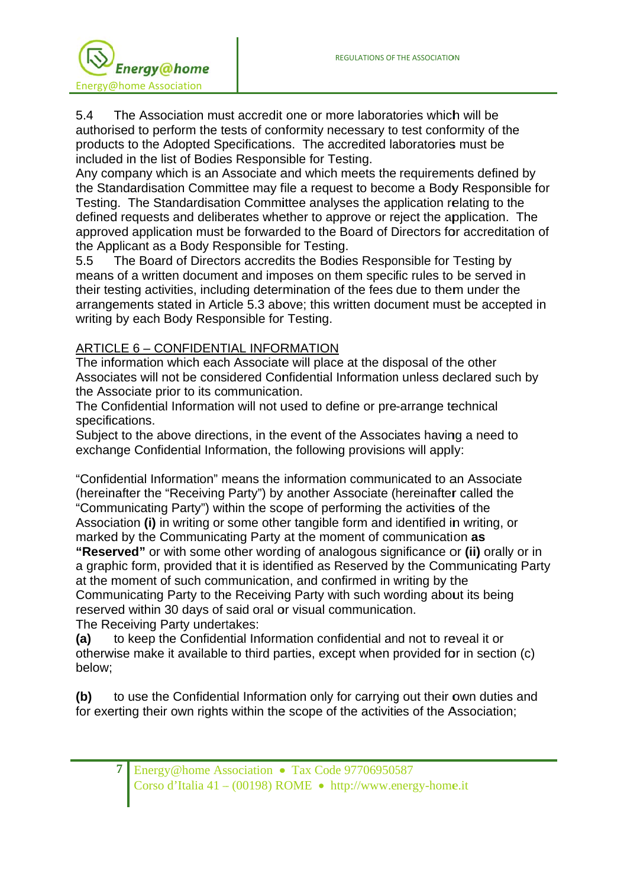

The Association must accredit one or more laboratories which will be  $5.4$ authorised to perform the tests of conformity necessary to test conformity of the products to the Adopted Specifications. The accredited laboratories must be included in the list of Bodies Responsible for Testing.

Any company which is an Associate and which meets the requirements defined by the Standardisation Committee may file a request to become a Body Responsible for Testing. The Standardisation Committee analyses the application relating to the defined requests and deliberates whether to approve or reject the application. The approved application must be forwarded to the Board of Directors for accreditation of the Applicant as a Body Responsible for Testing.

 $5.5$ The Board of Directors accredits the Bodies Responsible for Testing by means of a written document and imposes on them specific rules to be served in their testing activities, including determination of the fees due to them under the arrangements stated in Article 5.3 above; this written document must be accepted in writing by each Body Responsible for Testing.

## ARTICLE 6 - CONFIDENTIAL INFORMATION

The information which each Associate will place at the disposal of the other Associates will not be considered Confidential Information unless declared such by the Associate prior to its communication.

The Confidential Information will not used to define or pre-arrange technical specifications.

Subject to the above directions, in the event of the Associates having a need to exchange Confidential Information, the following provisions will apply:

"Confidential Information" means the information communicated to an Associate (hereinafter the "Receiving Party") by another Associate (hereinafter called the "Communicating Party") within the scope of performing the activities of the Association (i) in writing or some other tangible form and identified in writing, or marked by the Communicating Party at the moment of communication as "Reserved" or with some other wording of analogous significance or (ii) orally or in a graphic form, provided that it is identified as Reserved by the Communicating Party at the moment of such communication, and confirmed in writing by the Communicating Party to the Receiving Party with such wording about its being reserved within 30 days of said oral or visual communication. The Receiving Party undertakes:

to keep the Confidential Information confidential and not to reveal it or  $(a)$ otherwise make it available to third parties, except when provided for in section (c) below:

to use the Confidential Information only for carrying out their own duties and  $(b)$ for exerting their own rights within the scope of the activities of the Association: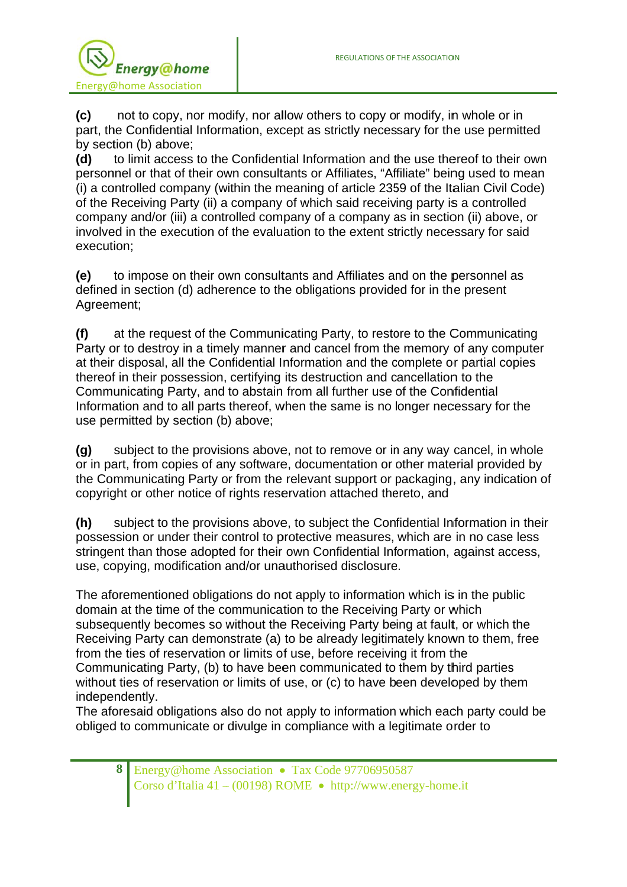

**(c)**  part, the Confidential Information, except as strictly necessary for the use permitted by section (b) above; not to copy, nor modify, nor allow others to copy or modify, in whole or in

**(d)**  personnel or that of their own consultants or Affiliates, "Affiliate" being used to mean (i) a controlled company (within the meaning of article 2359 of the Italian Civil Code) of the Receiving Party (ii) a company of which said receiving party is a controlled company and/or (iii) a controlled company of a company as in section (ii) above, or involved in the execution of the evaluation to the extent strictly necessary for said execut ion; to limit access to the Confidential Information and the use thereof to their own

**(e)**  defined in section (d) adherence to the obligations provided for in the present Agreement; to impose on their own consultants and Affiliates and on the personnel as

**(f)**  Party or to destroy in a timely manner and cancel from the memory of any computer at their disposal, all the Confidential Information and the complete or partial copies thereof in their possession, certifying its destruction and cancellation to the Communicating Party, and to abstain from all further use of the Confidential Information and to all parts thereof, when the same is no longer necessary for the use permitted by section (b) above; at the request of the Communicating Party, to restore to the Communicating

**(g)**  or in part, from copies of any software, documentation or other material provided by the Communicating Party or from the relevant support or packaging, any indication of copyright or other notice of rights reservation attached thereto, and subject to the provisions above, not to remove or in any way cancel, in whole

**(h)**  possession or under their control to protective measures, which are in no case less stringent than those adopted for their own Confidential Information, against access, use, copying, modification and/or unauthorised disclosure. subject to the provisions above, to subject the Confidential Information in their

The aforementioned obligations do not apply to information which is in the public domain at the time of the communication to the Receiving Party or which subsequently becomes so without the Receiving Party being at fault, or which the Receiving Party can demonstrate (a) to be already legitimately known to them, free from the ties of reservation or limits of use, before receiving it from the Communicating Party, (b) to have been communicated to them by third parties Communicating Party, (b) to have been communicated to them by third parties<br>without ties of reservation or limits of use, or (c) to have been developed by them independently.

The aforesaid obligations also do not apply to information which each party could be obliged to communicate or divulge in compliance with a legitimate order to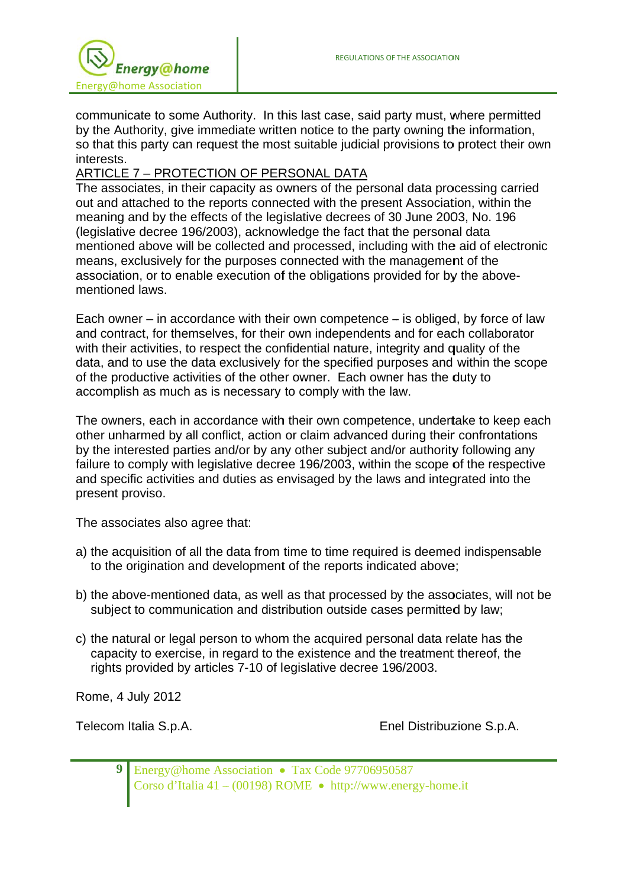

communicate to some Authority. In this last case, said party must, where permitted by the Authority, give immediate written notice to the party owning the information, so that this party can request the most suitable judicial provisions to protect their own interests.

## ARTICLE 7 - PROTECTION OF PERSONAL DATA

The associates, in their capacity as owners of the personal data processing carried out and attached to the reports connected with the present Association, within the meaning and by the effects of the legislative decrees of 30 June 2003, No. 196 (legislative decree 196/2003), acknowledge the fact that the personal data mentioned above will be collected and processed, including with the aid of electronic means, exclusively for the purposes connected with the management of the association, or to enable execution of the obligations provided for by the abovementioned laws.

Each owner – in accordance with their own competence – is obliged, by force of law and contract, for themselves, for their own independents and for each collaborator with their activities, to respect the confidential nature, integrity and quality of the data, and to use the data exclusively for the specified purposes and within the scope of the productive activities of the other owner. Each owner has the duty to accomplish as much as is necessary to comply with the law.

The owners, each in accordance with their own competence, undertake to keep each other unharmed by all conflict, action or claim advanced during their confrontations by the interested parties and/or by any other subject and/or authority following any failure to comply with legislative decree 196/2003, within the scope of the respective and specific activities and duties as envisaged by the laws and integrated into the present proviso.

The associates also agree that:

- a) the acquisition of all the data from time to time required is deemed indispensable to the origination and development of the reports indicated above;
- b) the above-mentioned data, as well as that processed by the associates, will not be subject to communication and distribution outside cases permitted by law;
- c) the natural or legal person to whom the acquired personal data relate has the capacity to exercise, in regard to the existence and the treatment thereof, the rights provided by articles 7-10 of legislative decree 196/2003.

Rome, 4 July 2012

Telecom Italia S.p.A.

Enel Distribuzione S.p.A.